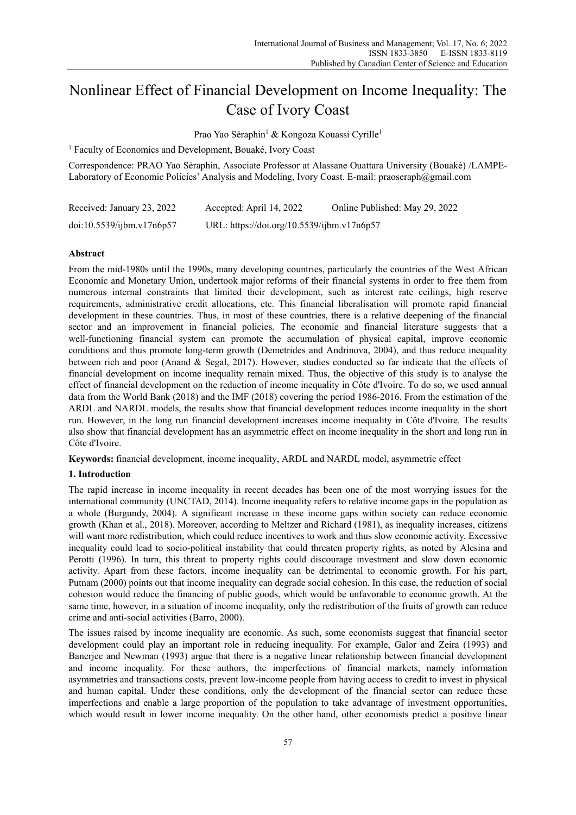# Nonlinear Effect of Financial Development on Income Inequality: The Case of Ivory Coast

Prao Yao Séraphin<sup>1</sup> & Kongoza Kouassi Cyrille<sup>1</sup>

<sup>1</sup> Faculty of Economics and Development, Bouaké, Ivory Coast

Correspondence: PRAO Yao Séraphin, Associate Professor at Alassane Ouattara University (Bouaké) /LAMPE-Laboratory of Economic Policies' Analysis and Modeling, Ivory Coast. E-mail: praoseraph@gmail.com

| Received: January 23, 2022 | Accepted: April 14, 2022                   | Online Published: May 29, 2022 |
|----------------------------|--------------------------------------------|--------------------------------|
| doi:10.5539/ijbm.v17n6p57  | URL: https://doi.org/10.5539/ijbm.v17n6p57 |                                |

# **Abstract**

From the mid-1980s until the 1990s, many developing countries, particularly the countries of the West African Economic and Monetary Union, undertook major reforms of their financial systems in order to free them from numerous internal constraints that limited their development, such as interest rate ceilings, high reserve requirements, administrative credit allocations, etc. This financial liberalisation will promote rapid financial development in these countries. Thus, in most of these countries, there is a relative deepening of the financial sector and an improvement in financial policies. The economic and financial literature suggests that a well-functioning financial system can promote the accumulation of physical capital, improve economic conditions and thus promote long-term growth (Demetrides and Andrinova, 2004), and thus reduce inequality between rich and poor (Anand & Segal, 2017). However, studies conducted so far indicate that the effects of financial development on income inequality remain mixed. Thus, the objective of this study is to analyse the effect of financial development on the reduction of income inequality in Côte d'Ivoire. To do so, we used annual data from the World Bank (2018) and the IMF (2018) covering the period 1986-2016. From the estimation of the ARDL and NARDL models, the results show that financial development reduces income inequality in the short run. However, in the long run financial development increases income inequality in Côte d'Ivoire. The results also show that financial development has an asymmetric effect on income inequality in the short and long run in Côte d'Ivoire.

**Keywords:** financial development, income inequality, ARDL and NARDL model, asymmetric effect

# **1. Introduction**

The rapid increase in income inequality in recent decades has been one of the most worrying issues for the international community (UNCTAD, 2014). Income inequality refers to relative income gaps in the population as a whole (Burgundy, 2004). A significant increase in these income gaps within society can reduce economic growth (Khan et al., 2018). Moreover, according to Meltzer and Richard (1981), as inequality increases, citizens will want more redistribution, which could reduce incentives to work and thus slow economic activity. Excessive inequality could lead to socio-political instability that could threaten property rights, as noted by Alesina and Perotti (1996). In turn, this threat to property rights could discourage investment and slow down economic activity. Apart from these factors, income inequality can be detrimental to economic growth. For his part, Putnam (2000) points out that income inequality can degrade social cohesion. In this case, the reduction of social cohesion would reduce the financing of public goods, which would be unfavorable to economic growth. At the same time, however, in a situation of income inequality, only the redistribution of the fruits of growth can reduce crime and anti-social activities (Barro, 2000).

The issues raised by income inequality are economic. As such, some economists suggest that financial sector development could play an important role in reducing inequality. For example, Galor and Zeira (1993) and Banerjee and Newman (1993) argue that there is a negative linear relationship between financial development and income inequality. For these authors, the imperfections of financial markets, namely information asymmetries and transactions costs, prevent low-income people from having access to credit to invest in physical and human capital. Under these conditions, only the development of the financial sector can reduce these imperfections and enable a large proportion of the population to take advantage of investment opportunities, which would result in lower income inequality. On the other hand, other economists predict a positive linear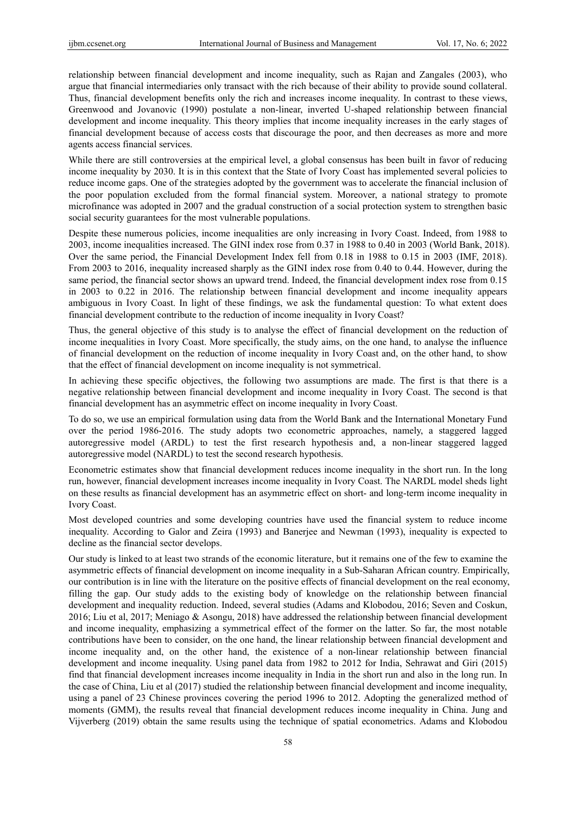relationship between financial development and income inequality, such as Rajan and Zangales (2003), who argue that financial intermediaries only transact with the rich because of their ability to provide sound collateral. Thus, financial development benefits only the rich and increases income inequality. In contrast to these views, Greenwood and Jovanovic (1990) postulate a non-linear, inverted U-shaped relationship between financial development and income inequality. This theory implies that income inequality increases in the early stages of financial development because of access costs that discourage the poor, and then decreases as more and more agents access financial services.

While there are still controversies at the empirical level, a global consensus has been built in favor of reducing income inequality by 2030. It is in this context that the State of Ivory Coast has implemented several policies to reduce income gaps. One of the strategies adopted by the government was to accelerate the financial inclusion of the poor population excluded from the formal financial system. Moreover, a national strategy to promote microfinance was adopted in 2007 and the gradual construction of a social protection system to strengthen basic social security guarantees for the most vulnerable populations.

Despite these numerous policies, income inequalities are only increasing in Ivory Coast. Indeed, from 1988 to 2003, income inequalities increased. The GINI index rose from 0.37 in 1988 to 0.40 in 2003 (World Bank, 2018). Over the same period, the Financial Development Index fell from 0.18 in 1988 to 0.15 in 2003 (IMF, 2018). From 2003 to 2016, inequality increased sharply as the GINI index rose from 0.40 to 0.44. However, during the same period, the financial sector shows an upward trend. Indeed, the financial development index rose from 0.15 in 2003 to 0.22 in 2016. The relationship between financial development and income inequality appears ambiguous in Ivory Coast. In light of these findings, we ask the fundamental question: To what extent does financial development contribute to the reduction of income inequality in Ivory Coast?

Thus, the general objective of this study is to analyse the effect of financial development on the reduction of income inequalities in Ivory Coast. More specifically, the study aims, on the one hand, to analyse the influence of financial development on the reduction of income inequality in Ivory Coast and, on the other hand, to show that the effect of financial development on income inequality is not symmetrical.

In achieving these specific objectives, the following two assumptions are made. The first is that there is a negative relationship between financial development and income inequality in Ivory Coast. The second is that financial development has an asymmetric effect on income inequality in Ivory Coast.

To do so, we use an empirical formulation using data from the World Bank and the International Monetary Fund over the period 1986-2016. The study adopts two econometric approaches, namely, a staggered lagged autoregressive model (ARDL) to test the first research hypothesis and, a non-linear staggered lagged autoregressive model (NARDL) to test the second research hypothesis.

Econometric estimates show that financial development reduces income inequality in the short run. In the long run, however, financial development increases income inequality in Ivory Coast. The NARDL model sheds light on these results as financial development has an asymmetric effect on short- and long-term income inequality in Ivory Coast.

Most developed countries and some developing countries have used the financial system to reduce income inequality. According to Galor and Zeira (1993) and Banerjee and Newman (1993), inequality is expected to decline as the financial sector develops.

Our study is linked to at least two strands of the economic literature, but it remains one of the few to examine the asymmetric effects of financial development on income inequality in a Sub-Saharan African country. Empirically, our contribution is in line with the literature on the positive effects of financial development on the real economy, filling the gap. Our study adds to the existing body of knowledge on the relationship between financial development and inequality reduction. Indeed, several studies (Adams and Klobodou, 2016; Seven and Coskun, 2016; Liu et al, 2017; Meniago & Asongu, 2018) have addressed the relationship between financial development and income inequality, emphasizing a symmetrical effect of the former on the latter. So far, the most notable contributions have been to consider, on the one hand, the linear relationship between financial development and income inequality and, on the other hand, the existence of a non-linear relationship between financial development and income inequality. Using panel data from 1982 to 2012 for India, Sehrawat and Giri (2015) find that financial development increases income inequality in India in the short run and also in the long run. In the case of China, Liu et al (2017) studied the relationship between financial development and income inequality, using a panel of 23 Chinese provinces covering the period 1996 to 2012. Adopting the generalized method of moments (GMM), the results reveal that financial development reduces income inequality in China. Jung and Vijverberg (2019) obtain the same results using the technique of spatial econometrics. Adams and Klobodou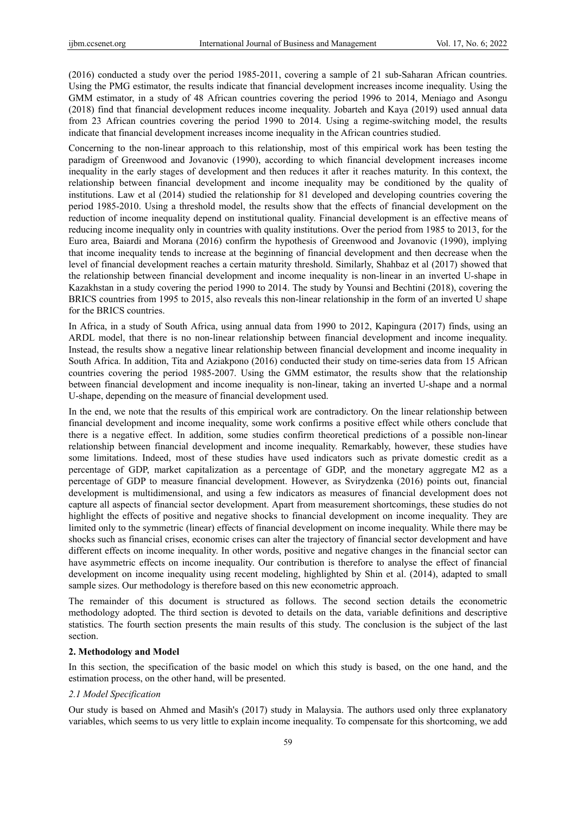(2016) conducted a study over the period 1985-2011, covering a sample of 21 sub-Saharan African countries. Using the PMG estimator, the results indicate that financial development increases income inequality. Using the GMM estimator, in a study of 48 African countries covering the period 1996 to 2014, Meniago and Asongu (2018) find that financial development reduces income inequality. Jobarteh and Kaya (2019) used annual data from 23 African countries covering the period 1990 to 2014. Using a regime-switching model, the results indicate that financial development increases income inequality in the African countries studied.

Concerning to the non-linear approach to this relationship, most of this empirical work has been testing the paradigm of Greenwood and Jovanovic (1990), according to which financial development increases income inequality in the early stages of development and then reduces it after it reaches maturity. In this context, the relationship between financial development and income inequality may be conditioned by the quality of institutions. Law et al (2014) studied the relationship for 81 developed and developing countries covering the period 1985-2010. Using a threshold model, the results show that the effects of financial development on the reduction of income inequality depend on institutional quality. Financial development is an effective means of reducing income inequality only in countries with quality institutions. Over the period from 1985 to 2013, for the Euro area, Baiardi and Morana (2016) confirm the hypothesis of Greenwood and Jovanovic (1990), implying that income inequality tends to increase at the beginning of financial development and then decrease when the level of financial development reaches a certain maturity threshold. Similarly, Shahbaz et al (2017) showed that the relationship between financial development and income inequality is non-linear in an inverted U-shape in Kazakhstan in a study covering the period 1990 to 2014. The study by Younsi and Bechtini (2018), covering the BRICS countries from 1995 to 2015, also reveals this non-linear relationship in the form of an inverted U shape for the BRICS countries.

In Africa, in a study of South Africa, using annual data from 1990 to 2012, Kapingura (2017) finds, using an ARDL model, that there is no non-linear relationship between financial development and income inequality. Instead, the results show a negative linear relationship between financial development and income inequality in South Africa. In addition, Tita and Aziakpono (2016) conducted their study on time-series data from 15 African countries covering the period 1985-2007. Using the GMM estimator, the results show that the relationship between financial development and income inequality is non-linear, taking an inverted U-shape and a normal U-shape, depending on the measure of financial development used.

In the end, we note that the results of this empirical work are contradictory. On the linear relationship between financial development and income inequality, some work confirms a positive effect while others conclude that there is a negative effect. In addition, some studies confirm theoretical predictions of a possible non-linear relationship between financial development and income inequality. Remarkably, however, these studies have some limitations. Indeed, most of these studies have used indicators such as private domestic credit as a percentage of GDP, market capitalization as a percentage of GDP, and the monetary aggregate M2 as a percentage of GDP to measure financial development. However, as Svirydzenka (2016) points out, financial development is multidimensional, and using a few indicators as measures of financial development does not capture all aspects of financial sector development. Apart from measurement shortcomings, these studies do not highlight the effects of positive and negative shocks to financial development on income inequality. They are limited only to the symmetric (linear) effects of financial development on income inequality. While there may be shocks such as financial crises, economic crises can alter the trajectory of financial sector development and have different effects on income inequality. In other words, positive and negative changes in the financial sector can have asymmetric effects on income inequality. Our contribution is therefore to analyse the effect of financial development on income inequality using recent modeling, highlighted by Shin et al. (2014), adapted to small sample sizes. Our methodology is therefore based on this new econometric approach.

The remainder of this document is structured as follows. The second section details the econometric methodology adopted. The third section is devoted to details on the data, variable definitions and descriptive statistics. The fourth section presents the main results of this study. The conclusion is the subject of the last section.

## **2. Methodology and Model**

In this section, the specification of the basic model on which this study is based, on the one hand, and the estimation process, on the other hand, will be presented.

#### *2.1 Model Specification*

Our study is based on Ahmed and Masih's (2017) study in Malaysia. The authors used only three explanatory variables, which seems to us very little to explain income inequality. To compensate for this shortcoming, we add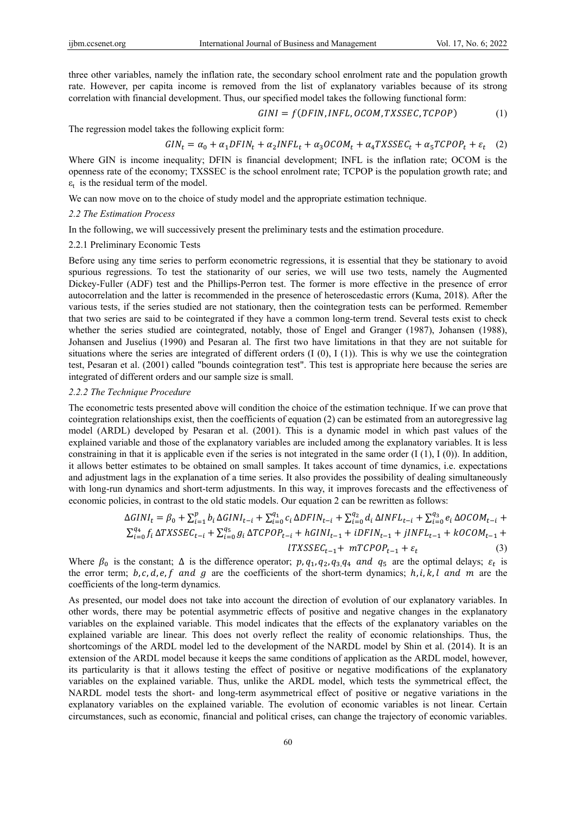three other variables, namely the inflation rate, the secondary school enrolment rate and the population growth rate. However, per capita income is removed from the list of explanatory variables because of its strong correlation with financial development. Thus, our specified model takes the following functional form:

$$
GINI = f(DFIN, INFL, OCOM, TXSSEC, TCPOP)
$$
 (1)

The regression model takes the following explicit form:

$$
GIN_t = \alpha_0 + \alpha_1 DFIN_t + \alpha_2 INFL_t + \alpha_3 OCOM_t + \alpha_4 TXSSEC_t + \alpha_5 TCPOP_t + \varepsilon_t
$$
 (2)

Where GIN is income inequality; DFIN is financial development; INFL is the inflation rate; OCOM is the openness rate of the economy; TXSSEC is the school enrolment rate; TCPOP is the population growth rate; and  $\varepsilon_t$  is the residual term of the model.

We can now move on to the choice of study model and the appropriate estimation technique.

#### *2.2 The Estimation Process*

In the following, we will successively present the preliminary tests and the estimation procedure.

## 2.2.1 Preliminary Economic Tests

Before using any time series to perform econometric regressions, it is essential that they be stationary to avoid spurious regressions. To test the stationarity of our series, we will use two tests, namely the Augmented Dickey-Fuller (ADF) test and the Phillips-Perron test. The former is more effective in the presence of error autocorrelation and the latter is recommended in the presence of heteroscedastic errors (Kuma, 2018). After the various tests, if the series studied are not stationary, then the cointegration tests can be performed. Remember that two series are said to be cointegrated if they have a common long-term trend. Several tests exist to check whether the series studied are cointegrated, notably, those of Engel and Granger (1987), Johansen (1988), Johansen and Juselius (1990) and Pesaran al. The first two have limitations in that they are not suitable for situations where the series are integrated of different orders (I (0), I (1)). This is why we use the cointegration test, Pesaran et al. (2001) called "bounds cointegration test". This test is appropriate here because the series are integrated of different orders and our sample size is small.

#### *2.2.2 The Technique Procedure*

The econometric tests presented above will condition the choice of the estimation technique. If we can prove that cointegration relationships exist, then the coefficients of equation (2) can be estimated from an autoregressive lag model (ARDL) developed by Pesaran et al. (2001). This is a dynamic model in which past values of the explained variable and those of the explanatory variables are included among the explanatory variables. It is less constraining in that it is applicable even if the series is not integrated in the same order  $(I(1), I(0))$ . In addition, it allows better estimates to be obtained on small samples. It takes account of time dynamics, i.e. expectations and adjustment lags in the explanation of a time series. It also provides the possibility of dealing simultaneously with long-run dynamics and short-term adjustments. In this way, it improves forecasts and the effectiveness of economic policies, in contrast to the old static models. Our equation 2 can be rewritten as follows:

$$
\Delta GINI_{t} = \beta_{0} + \sum_{i=1}^{p} b_{i} \Delta GINI_{t-i} + \sum_{i=0}^{q_{1}} c_{i} \Delta DFIN_{t-i} + \sum_{i=0}^{q_{2}} d_{i} \Delta INFL_{t-i} + \sum_{i=0}^{q_{3}} e_{i} \Delta OCOM_{t-i} + \sum_{i=0}^{q_{4}} f_{i} \Delta TXSSEC_{t-i} + \sum_{i=0}^{q_{5}} g_{i} \Delta TCPOP_{t-i} + hGINI_{t-1} + iDFIN_{t-1} + jINFL_{t-1} + kOCOM_{t-1} + \sum_{i=0}^{q_{6}} f_{i} \Delta TXSSEC_{t-i} + mTCPOP_{t-1} + \varepsilon_{t}
$$
\n(3)

Where  $\beta_0$  is the constant;  $\Delta$  is the difference operator;  $p, q_1, q_2, q_3, q_4$  and  $q_5$  are the optimal delays;  $\varepsilon_t$  is the error term;  $b, c, d, e, f$  and g are the coefficients of the short-term dynamics;  $h, i, k, l$  and m are the coefficients of the long-term dynamics.

As presented, our model does not take into account the direction of evolution of our explanatory variables. In other words, there may be potential asymmetric effects of positive and negative changes in the explanatory variables on the explained variable. This model indicates that the effects of the explanatory variables on the explained variable are linear. This does not overly reflect the reality of economic relationships. Thus, the shortcomings of the ARDL model led to the development of the NARDL model by Shin et al. (2014). It is an extension of the ARDL model because it keeps the same conditions of application as the ARDL model, however, its particularity is that it allows testing the effect of positive or negative modifications of the explanatory variables on the explained variable. Thus, unlike the ARDL model, which tests the symmetrical effect, the NARDL model tests the short- and long-term asymmetrical effect of positive or negative variations in the explanatory variables on the explained variable. The evolution of economic variables is not linear. Certain circumstances, such as economic, financial and political crises, can change the trajectory of economic variables.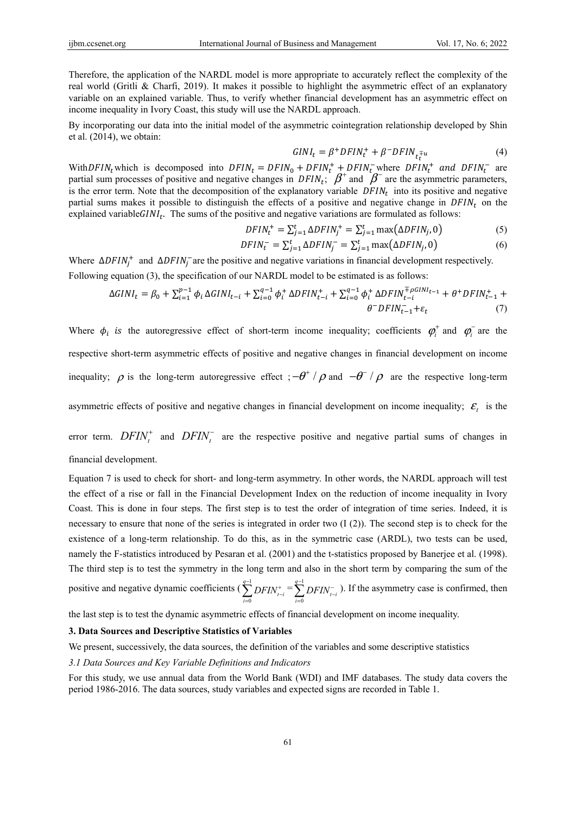Therefore, the application of the NARDL model is more appropriate to accurately reflect the complexity of the real world (Gritli & Charfi, 2019). It makes it possible to highlight the asymmetric effect of an explanatory variable on an explained variable. Thus, to verify whether financial development has an asymmetric effect on income inequality in Ivory Coast, this study will use the NARDL approach.

By incorporating our data into the initial model of the asymmetric cointegration relationship developed by Shin et al. (2014), we obtain:

$$
GINI_t = \beta^+ DFIN_t^+ + \beta^- DFIN_{t_t^+} \tag{4}
$$

With DFIN<sub>t</sub> which is decomposed into  $DFIN_t = DFIN_0 + DFIN_t^+ + DFIN_t^-$  where  $DFIN_t^+$  and  $DFIN_t^-$  are partial sum processes of positive and negative changes in  $DFIN_t$ ;  $\beta^+$  and  $\beta^-$  are the asymmetric parameters, is the error term. Note that the decomposition of the explanatory variable  $DFIN<sub>t</sub>$  into its positive and negative partial sums makes it possible to distinguish the effects of a positive and negative change in  $DFIN<sub>t</sub>$  on the explained variable $GINI_t$ . The sums of the positive and negative variations are formulated as follows:

$$
DFIN_t^+ = \sum_{j=1}^t \Delta DFIN_j^+ = \sum_{j=1}^t \max(\Delta DFIN_j, 0)
$$
 (5)

$$
DFIN_t^- = \sum_{j=1}^t \Delta DFIN_j^- = \sum_{j=1}^t \max(\Delta DFIN_j, 0)
$$
 (6)

Where  $\Delta DFIN_j^+$  and  $\Delta DFIN_j^-$  are the positive and negative variations in financial development respectively. Following equation (3), the specification of our NARDL model to be estimated is as follows:

$$
\Delta GINI_t = \beta_0 + \sum_{i=1}^{p-1} \phi_i \, \Delta GINI_{t-i} + \sum_{i=0}^{q-1} \phi_i^+ \, \Delta DFIN_{t-i}^+ + \sum_{i=0}^{q-1} \phi_i^+ \, \Delta DFIN_{t-i}^{\mp \rho GINI_{t-1}} + \theta^+ DFIN_{t-1}^+ + \theta^- DFIN_{t-1}^- + \theta^- DFIN_{t-1}^- + \theta^- DFIN_{t-1}^- + \theta^- DFIN_{t-1}^- + \theta^- DFIN_{t-1}^- + \theta^- DFIN_{t-1}^- + \theta^- DFIN_{t-1}^- + \theta^- DFIN_{t-1}^- + \theta^- DFIN_{t-1}^- + \theta^- DFIN_{t-1}^- + \theta^- DFIN_{t-1}^- + \theta^- DFIN_{t-1}^- + \theta^- DFIN_{t-1}^- + \theta^- DFIN_{t-1}^- + \theta^- DFIN_{t-1}^- + \theta^- DFIN_{t-1}^- + \theta^- DFIN_{t-1}^- + \theta^- DFIN_{t-1}^- + \theta^- DFIN_{t-1}^- + \theta^- DFIN_{t-1}^- + \theta^- DFIN_{t-1}^- + \theta^- DFIN_{t-1}^- + \theta^- DFIN_{t-1}^- + \theta^- DFIN_{t-1}^- + \theta^- DFIN_{t-1}^- + \theta^- DFIN_{t-1}^- + \theta^- DFIN_{t-1}^- + \theta^- DFIN_{t-1}^- + \theta^- DFIN_{t-1}^+ + \theta^- DFIN_{t-1}^+ + \theta^- DFIN_{t-1}^- + \theta^- DFIN_{t-1}^- + \theta^- DFIN_{t-1}^+ + \theta^- DFIN_{t-1}^+ + \theta^- DFIN_{t-1}^- + \theta^- DFIN_{t-1}^- + \theta^- DFIN_{t-1}^- + \theta^- DFIN_{t-1}^- + \theta^- DFIN_{t-1}^- + \theta^- DFIN_{t-1}^- + \theta^- DFIN_{t-1}^- + \theta^- DFIN_{t-1}^- + \theta^- DFIN_{t-1}^- + \theta^- DFIN_{t-1}^- + \theta^- DFIN_{t-1}^- + \theta^- DFIN_{t-1}^- + \theta^- DFIN_{t-1}^- + \theta^- DFIN_{t-1}^- + \theta^- DFIN_{t-1}^- + \theta^- DFIN_{t-1}^- + \theta^- DFIN_{t-1}^- + \theta^- DFIN_{t-1}^- + \theta^- DFIN_{t-
$$

Where  $\phi_i$  is the autoregressive effect of short-term income inequality; coefficients  $\phi_i^+$  and  $\phi_i^-$  are the respective short-term asymmetric effects of positive and negative changes in financial development on income inequality;  $\rho$  is the long-term autoregressive effect;  $-\theta^+ / \rho$  and  $-\theta^- / \rho$  are the respective long-term asymmetric effects of positive and negative changes in financial development on income inequality;  $\mathcal{E}_t$  is the

error term.  $DFIN_t^+$  and  $DFIN_t^-$  are the respective positive and negative partial sums of changes in financial development.

Equation 7 is used to check for short- and long-term asymmetry. In other words, the NARDL approach will test the effect of a rise or fall in the Financial Development Index on the reduction of income inequality in Ivory Coast. This is done in four steps. The first step is to test the order of integration of time series. Indeed, it is necessary to ensure that none of the series is integrated in order two  $(1(2))$ . The second step is to check for the existence of a long-term relationship. To do this, as in the symmetric case (ARDL), two tests can be used, namely the F-statistics introduced by Pesaran et al. (2001) and the t-statistics proposed by Banerjee et al. (1998). The third step is to test the symmetry in the long term and also in the short term by comparing the sum of the positive and negative dynamic coefficients ( $\sum_{n=1}^{\infty}$  $\boldsymbol{0}$ *q*  $\sum_{i=0}$   $\sum_{i=1}^{I} \sum_{j=1}^{I}$  $\sum_{i=0}^{q-1}$ *DFIN*<sup>+</sup><sub>t-i</sub></sub> =  $\sum_{i=0}^{q-1}$ *q*  $\sum_{i=0}$   $\sum_{i=1}^{I} \sum_{j=1}^{I}$  $\sum_{i=0}^{q-1} DFIN_{t-i}^-$ ). If the asymmetry case is confirmed, then

the last step is to test the dynamic asymmetric effects of financial development on income inequality.

## **3. Data Sources and Descriptive Statistics of Variables**

We present, successively, the data sources, the definition of the variables and some descriptive statistics

*3.1 Data Sources and Key Variable Definitions and Indicators* 

For this study, we use annual data from the World Bank (WDI) and IMF databases. The study data covers the period 1986-2016. The data sources, study variables and expected signs are recorded in Table 1.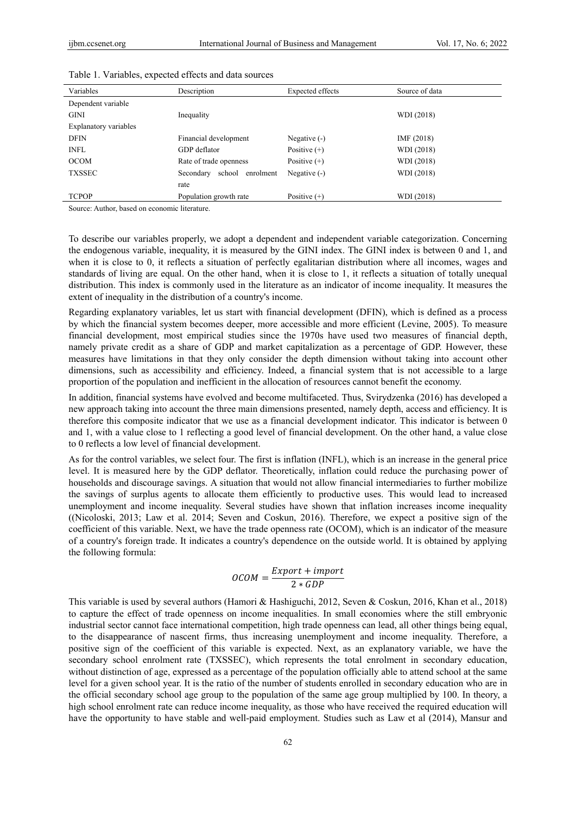| Variables             | Description                      | Expected effects | Source of data |
|-----------------------|----------------------------------|------------------|----------------|
| Dependent variable    |                                  |                  |                |
| <b>GINI</b>           | Inequality                       |                  | WDI (2018)     |
| Explanatory variables |                                  |                  |                |
| <b>DFIN</b>           | Financial development            | Negative $(-)$   | IMF (2018)     |
| <b>INFL</b>           | GDP deflator                     | Positive $(+)$   | WDI (2018)     |
| <b>OCOM</b>           | Rate of trade openness           | Positive $(+)$   | WDI (2018)     |
| <b>TXSSEC</b>         | school<br>Secondary<br>enrolment | Negative (-)     | WDI (2018)     |
|                       | rate                             |                  |                |
| <b>TCPOP</b>          | Population growth rate           | Positive $(+)$   | WDI (2018)     |

Table 1. Variables, expected effects and data sources

Source: Author, based on economic literature.

To describe our variables properly, we adopt a dependent and independent variable categorization. Concerning the endogenous variable, inequality, it is measured by the GINI index. The GINI index is between 0 and 1, and when it is close to 0, it reflects a situation of perfectly egalitarian distribution where all incomes, wages and standards of living are equal. On the other hand, when it is close to 1, it reflects a situation of totally unequal distribution. This index is commonly used in the literature as an indicator of income inequality. It measures the extent of inequality in the distribution of a country's income.

Regarding explanatory variables, let us start with financial development (DFIN), which is defined as a process by which the financial system becomes deeper, more accessible and more efficient (Levine, 2005). To measure financial development, most empirical studies since the 1970s have used two measures of financial depth, namely private credit as a share of GDP and market capitalization as a percentage of GDP. However, these measures have limitations in that they only consider the depth dimension without taking into account other dimensions, such as accessibility and efficiency. Indeed, a financial system that is not accessible to a large proportion of the population and inefficient in the allocation of resources cannot benefit the economy.

In addition, financial systems have evolved and become multifaceted. Thus, Svirydzenka (2016) has developed a new approach taking into account the three main dimensions presented, namely depth, access and efficiency. It is therefore this composite indicator that we use as a financial development indicator. This indicator is between 0 and 1, with a value close to 1 reflecting a good level of financial development. On the other hand, a value close to 0 reflects a low level of financial development.

As for the control variables, we select four. The first is inflation (INFL), which is an increase in the general price level. It is measured here by the GDP deflator. Theoretically, inflation could reduce the purchasing power of households and discourage savings. A situation that would not allow financial intermediaries to further mobilize the savings of surplus agents to allocate them efficiently to productive uses. This would lead to increased unemployment and income inequality. Several studies have shown that inflation increases income inequality ((Nicoloski, 2013; Law et al. 2014; Seven and Coskun, 2016). Therefore, we expect a positive sign of the coefficient of this variable. Next, we have the trade openness rate (OCOM), which is an indicator of the measure of a country's foreign trade. It indicates a country's dependence on the outside world. It is obtained by applying the following formula:

$$
OCOM = \frac{Export + import}{2 * GDP}
$$

This variable is used by several authors (Hamori & Hashiguchi, 2012, Seven & Coskun, 2016, Khan et al., 2018) to capture the effect of trade openness on income inequalities. In small economies where the still embryonic industrial sector cannot face international competition, high trade openness can lead, all other things being equal, to the disappearance of nascent firms, thus increasing unemployment and income inequality. Therefore, a positive sign of the coefficient of this variable is expected. Next, as an explanatory variable, we have the secondary school enrolment rate (TXSSEC), which represents the total enrolment in secondary education, without distinction of age, expressed as a percentage of the population officially able to attend school at the same level for a given school year. It is the ratio of the number of students enrolled in secondary education who are in the official secondary school age group to the population of the same age group multiplied by 100. In theory, a high school enrolment rate can reduce income inequality, as those who have received the required education will have the opportunity to have stable and well-paid employment. Studies such as Law et al (2014), Mansur and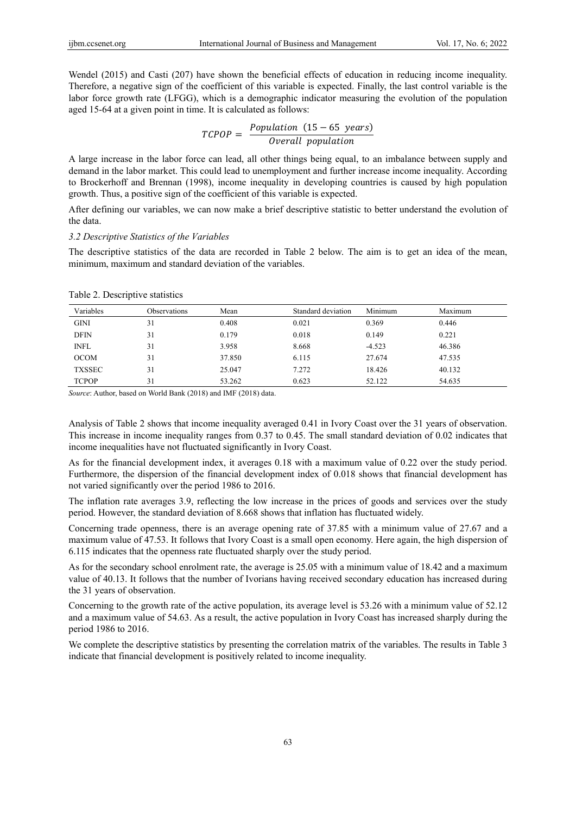Wendel (2015) and Casti (207) have shown the beneficial effects of education in reducing income inequality. Therefore, a negative sign of the coefficient of this variable is expected. Finally, the last control variable is the labor force growth rate (LFGG), which is a demographic indicator measuring the evolution of the population aged 15-64 at a given point in time. It is calculated as follows:

 $TCPOP = \frac{Population (15 - 65 \text{ years})}{Overall population}$ 

A large increase in the labor force can lead, all other things being equal, to an imbalance between supply and demand in the labor market. This could lead to unemployment and further increase income inequality. According to Brockerhoff and Brennan (1998), income inequality in developing countries is caused by high population growth. Thus, a positive sign of the coefficient of this variable is expected.

After defining our variables, we can now make a brief descriptive statistic to better understand the evolution of the data.

#### *3.2 Descriptive Statistics of the Variables*

The descriptive statistics of the data are recorded in Table 2 below. The aim is to get an idea of the mean, minimum, maximum and standard deviation of the variables.

| Variables     | <b>Observations</b> | Mean   | Standard deviation | Minimum  | Maximum |
|---------------|---------------------|--------|--------------------|----------|---------|
| <b>GINI</b>   | 31                  | 0.408  | 0.021              | 0.369    | 0.446   |
| <b>DFIN</b>   | 31                  | 0.179  | 0.018              | 0.149    | 0.221   |
| <b>INFL</b>   | 31                  | 3.958  | 8.668              | $-4.523$ | 46.386  |
| <b>OCOM</b>   | 31                  | 37.850 | 6.115              | 27.674   | 47.535  |
| <b>TXSSEC</b> | 31                  | 25.047 | 7.272              | 18.426   | 40.132  |
| <b>TCPOP</b>  | 31                  | 53.262 | 0.623              | 52.122   | 54.635  |

Table 2. Descriptive statistics

*Source*: Author, based on World Bank (2018) and IMF (2018) data.

Analysis of Table 2 shows that income inequality averaged 0.41 in Ivory Coast over the 31 years of observation. This increase in income inequality ranges from 0.37 to 0.45. The small standard deviation of 0.02 indicates that income inequalities have not fluctuated significantly in Ivory Coast.

As for the financial development index, it averages 0.18 with a maximum value of 0.22 over the study period. Furthermore, the dispersion of the financial development index of 0.018 shows that financial development has not varied significantly over the period 1986 to 2016.

The inflation rate averages 3.9, reflecting the low increase in the prices of goods and services over the study period. However, the standard deviation of 8.668 shows that inflation has fluctuated widely.

Concerning trade openness, there is an average opening rate of 37.85 with a minimum value of 27.67 and a maximum value of 47.53. It follows that Ivory Coast is a small open economy. Here again, the high dispersion of 6.115 indicates that the openness rate fluctuated sharply over the study period.

As for the secondary school enrolment rate, the average is 25.05 with a minimum value of 18.42 and a maximum value of 40.13. It follows that the number of Ivorians having received secondary education has increased during the 31 years of observation.

Concerning to the growth rate of the active population, its average level is 53.26 with a minimum value of 52.12 and a maximum value of 54.63. As a result, the active population in Ivory Coast has increased sharply during the period 1986 to 2016.

We complete the descriptive statistics by presenting the correlation matrix of the variables. The results in Table 3 indicate that financial development is positively related to income inequality.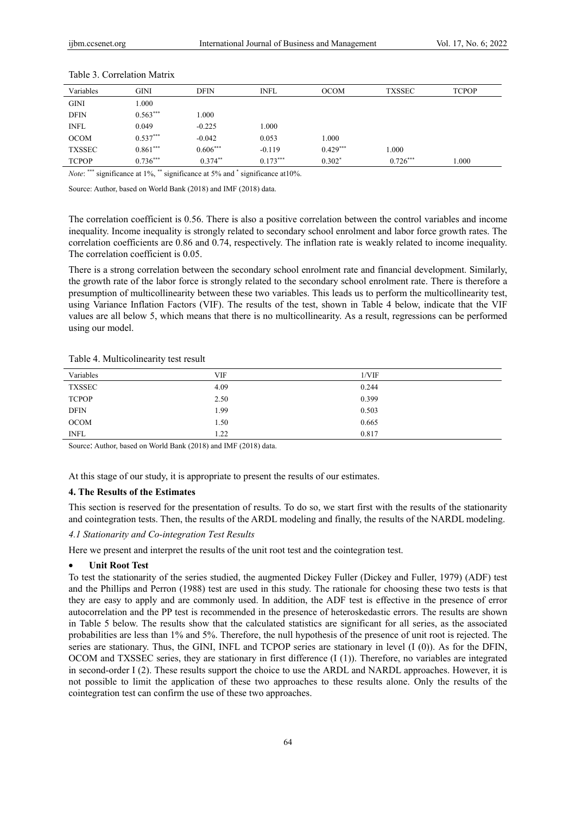| Variables     | GINI       | <b>DFIN</b> | <b>INFL</b> | <b>OCOM</b> | <b>TXSSEC</b> | <b>TCPOP</b> |
|---------------|------------|-------------|-------------|-------------|---------------|--------------|
| <b>GINI</b>   | .000       |             |             |             |               |              |
| <b>DFIN</b>   | $0.563***$ | 1.000       |             |             |               |              |
| <b>INFL</b>   | 0.049      | $-0.225$    | 1.000       |             |               |              |
| <b>OCOM</b>   | $0.537***$ | $-0.042$    | 0.053       | 1.000       |               |              |
| <b>TXSSEC</b> | $0.861***$ | $0.606***$  | $-0.119$    | $0.429***$  | 1.000         |              |
| <b>TCPOP</b>  | $0.736***$ | $0.374**$   | $0.173***$  | $0.302*$    | $0.726***$    | 1.000        |

#### Table 3. Correlation Matrix

*Note*: \*\*\* significance at 1%, \*\* significance at 5% and \* significance at 10%.

Source: Author, based on World Bank (2018) and IMF (2018) data.

The correlation coefficient is 0.56. There is also a positive correlation between the control variables and income inequality. Income inequality is strongly related to secondary school enrolment and labor force growth rates. The correlation coefficients are 0.86 and 0.74, respectively. The inflation rate is weakly related to income inequality. The correlation coefficient is 0.05.

There is a strong correlation between the secondary school enrolment rate and financial development. Similarly, the growth rate of the labor force is strongly related to the secondary school enrolment rate. There is therefore a presumption of multicollinearity between these two variables. This leads us to perform the multicollinearity test, using Variance Inflation Factors (VIF). The results of the test, shown in Table 4 below, indicate that the VIF values are all below 5, which means that there is no multicollinearity. As a result, regressions can be performed using our model.

Table 4. Multicolinearity test result

| Variables     | VIF  | 1/VIF |
|---------------|------|-------|
| <b>TXSSEC</b> | 4.09 | 0.244 |
| <b>TCPOP</b>  | 2.50 | 0.399 |
| <b>DFIN</b>   | 1.99 | 0.503 |
| <b>OCOM</b>   | 1.50 | 0.665 |
| <b>INFL</b>   | 1.22 | 0.817 |

Source: Author, based on World Bank (2018) and IMF (2018) data.

At this stage of our study, it is appropriate to present the results of our estimates.

## **4. The Results of the Estimates**

This section is reserved for the presentation of results. To do so, we start first with the results of the stationarity and cointegration tests. Then, the results of the ARDL modeling and finally, the results of the NARDL modeling.

## *4.1 Stationarity and Co-integration Test Results*

Here we present and interpret the results of the unit root test and the cointegration test.

## • **Unit Root Test**

To test the stationarity of the series studied, the augmented Dickey Fuller (Dickey and Fuller, 1979) (ADF) test and the Phillips and Perron (1988) test are used in this study. The rationale for choosing these two tests is that they are easy to apply and are commonly used. In addition, the ADF test is effective in the presence of error autocorrelation and the PP test is recommended in the presence of heteroskedastic errors. The results are shown in Table 5 below. The results show that the calculated statistics are significant for all series, as the associated probabilities are less than 1% and 5%. Therefore, the null hypothesis of the presence of unit root is rejected. The series are stationary. Thus, the GINI, INFL and TCPOP series are stationary in level (I (0)). As for the DFIN, OCOM and TXSSEC series, they are stationary in first difference (I (1)). Therefore, no variables are integrated in second-order I (2). These results support the choice to use the ARDL and NARDL approaches. However, it is not possible to limit the application of these two approaches to these results alone. Only the results of the cointegration test can confirm the use of these two approaches.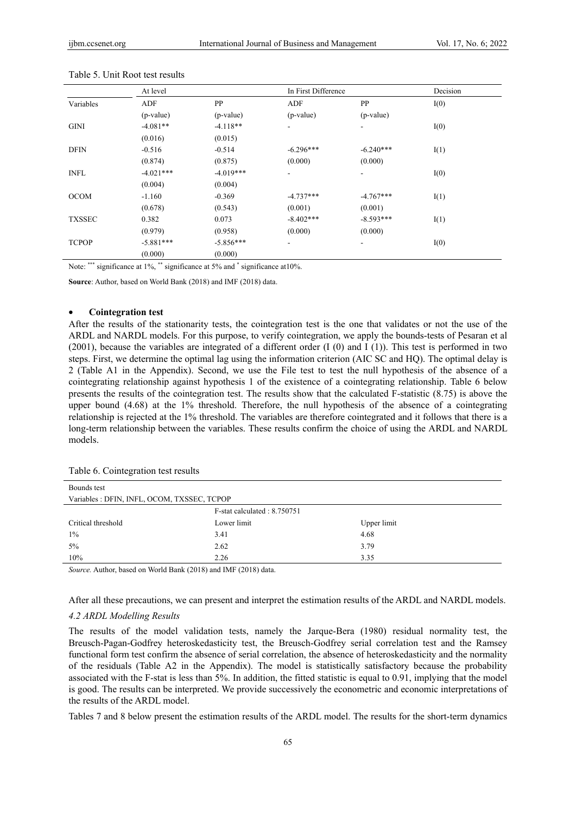|               | At level    |             | In First Difference |             | Decision |  |
|---------------|-------------|-------------|---------------------|-------------|----------|--|
| Variables     | ADF         | PP          | ADF                 | PP          | I(0)     |  |
|               | (p-value)   | $(p-value)$ | (p-value)           | $(p-value)$ |          |  |
| <b>GINI</b>   | $-4.081**$  | $-4.118**$  | $\frac{1}{2}$       | ٠           | I(0)     |  |
|               | (0.016)     | (0.015)     |                     |             |          |  |
| <b>DFIN</b>   | $-0.516$    | $-0.514$    | $-6.296***$         | $-6.240***$ | I(1)     |  |
|               | (0.874)     | (0.875)     | (0.000)             | (0.000)     |          |  |
| <b>INFL</b>   | $-4.021***$ | $-4.019***$ | ۰                   |             | I(0)     |  |
|               | (0.004)     | (0.004)     |                     |             |          |  |
| <b>OCOM</b>   | $-1.160$    | $-0.369$    | $-4.737***$         | $-4.767***$ | I(1)     |  |
|               | (0.678)     | (0.543)     | (0.001)             | (0.001)     |          |  |
| <b>TXSSEC</b> | 0.382       | 0.073       | $-8.402***$         | $-8.593***$ | I(1)     |  |
|               | (0.979)     | (0.958)     | (0.000)             | (0.000)     |          |  |
| <b>TCPOP</b>  | $-5.881***$ | $-5.856***$ | ۰                   | ۰           | I(0)     |  |
|               | (0.000)     | (0.000)     |                     |             |          |  |

Table 5. Unit Root test results

Note: \*\*\* significance at 1%, \*\* significance at 5% and \* significance at 10%.

**Source**: Author, based on World Bank (2018) and IMF (2018) data.

## • **Cointegration test**

After the results of the stationarity tests, the cointegration test is the one that validates or not the use of the ARDL and NARDL models. For this purpose, to verify cointegration, we apply the bounds-tests of Pesaran et al (2001), because the variables are integrated of a different order (I (0) and I (1)). This test is performed in two steps. First, we determine the optimal lag using the information criterion (AIC SC and HQ). The optimal delay is 2 (Table A1 in the Appendix). Second, we use the File test to test the null hypothesis of the absence of a cointegrating relationship against hypothesis 1 of the existence of a cointegrating relationship. Table 6 below presents the results of the cointegration test. The results show that the calculated F-statistic (8.75) is above the upper bound (4.68) at the 1% threshold. Therefore, the null hypothesis of the absence of a cointegrating relationship is rejected at the 1% threshold. The variables are therefore cointegrated and it follows that there is a long-term relationship between the variables. These results confirm the choice of using the ARDL and NARDL models.

Table 6. Cointegration test results

| Bounds test                                 |                             |             |
|---------------------------------------------|-----------------------------|-------------|
| Variables : DFIN, INFL, OCOM, TXSSEC, TCPOP |                             |             |
|                                             | F-stat calculated: 8.750751 |             |
| Critical threshold                          | Lower limit                 | Upper limit |
| $1\%$                                       | 3.41                        | 4.68        |
| $5\%$                                       | 2.62                        | 3.79        |
| 10%                                         | 2.26                        | 3.35        |

*Source.* Author, based on World Bank (2018) and IMF (2018) data.

After all these precautions, we can present and interpret the estimation results of the ARDL and NARDL models.

# *4.2 ARDL Modelling Results*

The results of the model validation tests, namely the Jarque-Bera (1980) residual normality test, the Breusch-Pagan-Godfrey heteroskedasticity test, the Breusch-Godfrey serial correlation test and the Ramsey functional form test confirm the absence of serial correlation, the absence of heteroskedasticity and the normality of the residuals (Table A2 in the Appendix). The model is statistically satisfactory because the probability associated with the F-stat is less than 5%. In addition, the fitted statistic is equal to 0.91, implying that the model is good. The results can be interpreted. We provide successively the econometric and economic interpretations of the results of the ARDL model.

Tables 7 and 8 below present the estimation results of the ARDL model. The results for the short-term dynamics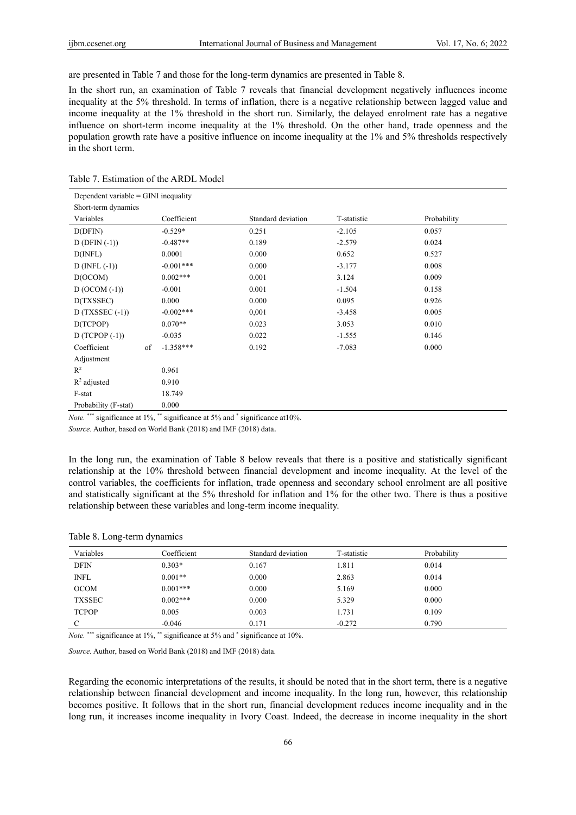are presented in Table 7 and those for the long-term dynamics are presented in Table 8.

In the short run, an examination of Table 7 reveals that financial development negatively influences income inequality at the 5% threshold. In terms of inflation, there is a negative relationship between lagged value and income inequality at the 1% threshold in the short run. Similarly, the delayed enrolment rate has a negative influence on short-term income inequality at the 1% threshold. On the other hand, trade openness and the population growth rate have a positive influence on income inequality at the 1% and 5% thresholds respectively in the short term.

| Dependent variable $=$ GINI inequality |             |                    |             |             |
|----------------------------------------|-------------|--------------------|-------------|-------------|
| Short-term dynamics                    |             |                    |             |             |
| Variables                              | Coefficient | Standard deviation | T-statistic | Probability |
| D(DFIN)                                | $-0.529*$   | 0.251              | $-2.105$    | 0.057       |
| $D$ (DFIN $(-1)$ )                     | $-0.487**$  | 0.189              | $-2.579$    | 0.024       |
| $D(\text{INFL})$                       | 0.0001      | 0.000              | 0.652       | 0.527       |
| $D$ (INFL $(-1)$ )                     | $-0.001***$ | 0.000              | $-3.177$    | 0.008       |
| D(OCOM)                                | $0.002***$  | 0.001              | 3.124       | 0.009       |
| $D (OCOM (-1))$                        | $-0.001$    | 0.001              | $-1.504$    | 0.158       |
| D(TXSSEC)                              | 0.000       | 0.000              | 0.095       | 0.926       |
| $D(TXSSEC (-1))$                       | $-0.002***$ | 0,001              | $-3.458$    | 0.005       |
| D(TCPOP)                               | $0.070**$   | 0.023              | 3.053       | 0.010       |
| $D(TCPOP(-1))$                         | $-0.035$    | 0.022              | $-1.555$    | 0.146       |
| Coefficient<br>of                      | $-1.358***$ | 0.192              | $-7.083$    | 0.000       |
| Adjustment                             |             |                    |             |             |
| $R^2$                                  | 0.961       |                    |             |             |
| $R^2$ adjusted                         | 0.910       |                    |             |             |
| F-stat                                 | 18.749      |                    |             |             |
| Probability (F-stat)                   | 0.000       |                    |             |             |

Table 7. Estimation of the ARDL Model

Note.<sup>\*\*\*</sup> significance at 1%, \*\* significance at 5% and \* significance at 10%.

*Source.* Author, based on World Bank (2018) and IMF (2018) data.

In the long run, the examination of Table 8 below reveals that there is a positive and statistically significant relationship at the 10% threshold between financial development and income inequality. At the level of the control variables, the coefficients for inflation, trade openness and secondary school enrolment are all positive and statistically significant at the 5% threshold for inflation and 1% for the other two. There is thus a positive relationship between these variables and long-term income inequality.

## Table 8. Long-term dynamics

| Variables     | Coefficient | Standard deviation | T-statistic | Probability |
|---------------|-------------|--------------------|-------------|-------------|
| <b>DFIN</b>   | $0.303*$    | 0.167              | 1.811       | 0.014       |
| <b>INFL</b>   | $0.001**$   | 0.000              | 2.863       | 0.014       |
| <b>OCOM</b>   | $0.001***$  | 0.000              | 5.169       | 0.000       |
| <b>TXSSEC</b> | $0.002***$  | 0.000              | 5.329       | 0.000       |
| <b>TCPOP</b>  | 0.005       | 0.003              | 1.731       | 0.109       |
|               | $-0.046$    | 0.171              | $-0.272$    | 0.790       |

Note.<sup>\*\*\*</sup> significance at 1%, \*\* significance at 5% and \* significance at 10%.

*Source.* Author, based on World Bank (2018) and IMF (2018) data.

Regarding the economic interpretations of the results, it should be noted that in the short term, there is a negative relationship between financial development and income inequality. In the long run, however, this relationship becomes positive. It follows that in the short run, financial development reduces income inequality and in the long run, it increases income inequality in Ivory Coast. Indeed, the decrease in income inequality in the short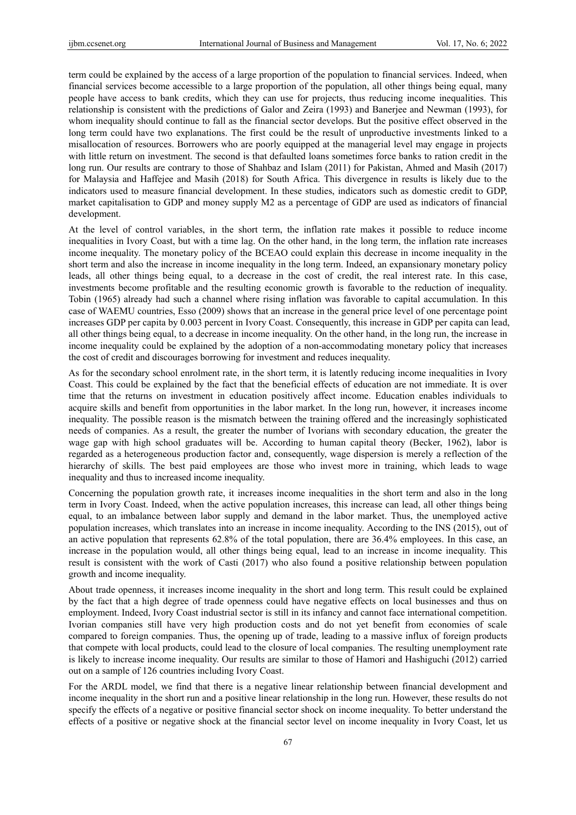term could be explained by the access of a large proportion of the population to financial services. Indeed, when financial services become accessible to a large proportion of the population, all other things being equal, many people have access to bank credits, which they can use for projects, thus reducing income inequalities. This relationship is consistent with the predictions of Galor and Zeira (1993) and Banerjee and Newman (1993), for whom inequality should continue to fall as the financial sector develops. But the positive effect observed in the long term could have two explanations. The first could be the result of unproductive investments linked to a misallocation of resources. Borrowers who are poorly equipped at the managerial level may engage in projects with little return on investment. The second is that defaulted loans sometimes force banks to ration credit in the long run. Our results are contrary to those of Shahbaz and Islam (2011) for Pakistan, Ahmed and Masih (2017) for Malaysia and Haffejee and Masih (2018) for South Africa. This divergence in results is likely due to the indicators used to measure financial development. In these studies, indicators such as domestic credit to GDP, market capitalisation to GDP and money supply M2 as a percentage of GDP are used as indicators of financial development.

At the level of control variables, in the short term, the inflation rate makes it possible to reduce income inequalities in Ivory Coast, but with a time lag. On the other hand, in the long term, the inflation rate increases income inequality. The monetary policy of the BCEAO could explain this decrease in income inequality in the short term and also the increase in income inequality in the long term. Indeed, an expansionary monetary policy leads, all other things being equal, to a decrease in the cost of credit, the real interest rate. In this case, investments become profitable and the resulting economic growth is favorable to the reduction of inequality. Tobin (1965) already had such a channel where rising inflation was favorable to capital accumulation. In this case of WAEMU countries, Esso (2009) shows that an increase in the general price level of one percentage point increases GDP per capita by 0.003 percent in Ivory Coast. Consequently, this increase in GDP per capita can lead, all other things being equal, to a decrease in income inequality. On the other hand, in the long run, the increase in income inequality could be explained by the adoption of a non-accommodating monetary policy that increases the cost of credit and discourages borrowing for investment and reduces inequality.

As for the secondary school enrolment rate, in the short term, it is latently reducing income inequalities in Ivory Coast. This could be explained by the fact that the beneficial effects of education are not immediate. It is over time that the returns on investment in education positively affect income. Education enables individuals to acquire skills and benefit from opportunities in the labor market. In the long run, however, it increases income inequality. The possible reason is the mismatch between the training offered and the increasingly sophisticated needs of companies. As a result, the greater the number of Ivorians with secondary education, the greater the wage gap with high school graduates will be. According to human capital theory (Becker, 1962), labor is regarded as a heterogeneous production factor and, consequently, wage dispersion is merely a reflection of the hierarchy of skills. The best paid employees are those who invest more in training, which leads to wage inequality and thus to increased income inequality.

Concerning the population growth rate, it increases income inequalities in the short term and also in the long term in Ivory Coast. Indeed, when the active population increases, this increase can lead, all other things being equal, to an imbalance between labor supply and demand in the labor market. Thus, the unemployed active population increases, which translates into an increase in income inequality. According to the INS (2015), out of an active population that represents 62.8% of the total population, there are 36.4% employees. In this case, an increase in the population would, all other things being equal, lead to an increase in income inequality. This result is consistent with the work of Casti (2017) who also found a positive relationship between population growth and income inequality.

About trade openness, it increases income inequality in the short and long term. This result could be explained by the fact that a high degree of trade openness could have negative effects on local businesses and thus on employment. Indeed, Ivory Coast industrial sector is still in its infancy and cannot face international competition. Ivorian companies still have very high production costs and do not yet benefit from economies of scale compared to foreign companies. Thus, the opening up of trade, leading to a massive influx of foreign products that compete with local products, could lead to the closure of local companies. The resulting unemployment rate is likely to increase income inequality. Our results are similar to those of Hamori and Hashiguchi (2012) carried out on a sample of 126 countries including Ivory Coast.

For the ARDL model, we find that there is a negative linear relationship between financial development and income inequality in the short run and a positive linear relationship in the long run. However, these results do not specify the effects of a negative or positive financial sector shock on income inequality. To better understand the effects of a positive or negative shock at the financial sector level on income inequality in Ivory Coast, let us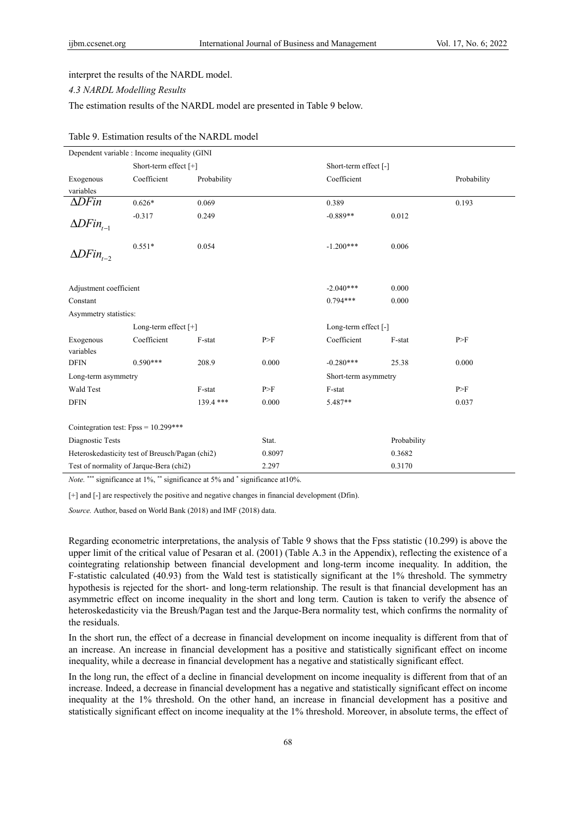interpret the results of the NARDL model.

# *4.3 NARDL Modelling Results*

The estimation results of the NARDL model are presented in Table 9 below.

|                                         | Dependent variable : Income inequality (GINI    |             |        |                       |             |             |
|-----------------------------------------|-------------------------------------------------|-------------|--------|-----------------------|-------------|-------------|
|                                         | Short-term effect [+]                           |             |        | Short-term effect [-] |             |             |
| Exogenous                               | Coefficient                                     | Probability |        | Coefficient           |             | Probability |
| variables                               |                                                 |             |        |                       |             |             |
| $\Delta$ DFin                           | $0.626*$                                        | 0.069       |        | 0.389                 |             | 0.193       |
|                                         | $-0.317$                                        | 0.249       |        | $-0.889**$            | 0.012       |             |
| $\Delta DFin_{t-1}$                     |                                                 |             |        |                       |             |             |
| $\Delta DFin_{t-2}$                     | $0.551*$                                        | 0.054       |        | $-1.200***$           | 0.006       |             |
|                                         |                                                 |             |        |                       |             |             |
| Adjustment coefficient                  |                                                 |             |        | $-2.040***$           | 0.000       |             |
| Constant                                |                                                 |             |        | $0.794***$            | 0.000       |             |
| Asymmetry statistics:                   |                                                 |             |        |                       |             |             |
|                                         | Long-term effect $[+]$                          |             |        | Long-term effect [-]  |             |             |
| Exogenous                               | Coefficient                                     | F-stat      | P>F    | Coefficient           | F-stat      | P>F         |
| variables                               |                                                 |             |        |                       |             |             |
| <b>DFIN</b>                             | $0.590***$                                      | 208.9       | 0.000  | $-0.280***$           | 25.38       | 0.000       |
| Long-term asymmetry                     |                                                 |             |        | Short-term asymmetry  |             |             |
| Wald Test                               |                                                 | F-stat      | P>F    | F-stat                |             | P>F         |
| <b>DFIN</b>                             |                                                 | $139.4$ *** | 0.000  | 5.487**               |             | 0.037       |
|                                         |                                                 |             |        |                       |             |             |
| Cointegration test: $Fpss = 10.299***$  |                                                 |             |        |                       |             |             |
| Diagnostic Tests                        |                                                 |             | Stat.  |                       | Probability |             |
|                                         | Heteroskedasticity test of Breusch/Pagan (chi2) |             | 0.8097 |                       | 0.3682      |             |
| Test of normality of Jarque-Bera (chi2) |                                                 |             | 2.297  |                       | 0.3170      |             |

# Table 9. Estimation results of the NARDL model

Note.<sup>\*\*\*</sup> significance at 1%, \*\* significance at 5% and \* significance at 10%.

[+] and [-] are respectively the positive and negative changes in financial development (Dfin).

*Source.* Author, based on World Bank (2018) and IMF (2018) data.

Regarding econometric interpretations, the analysis of Table 9 shows that the Fpss statistic (10.299) is above the upper limit of the critical value of Pesaran et al. (2001) (Table A.3 in the Appendix), reflecting the existence of a cointegrating relationship between financial development and long-term income inequality. In addition, the F-statistic calculated (40.93) from the Wald test is statistically significant at the 1% threshold. The symmetry hypothesis is rejected for the short- and long-term relationship. The result is that financial development has an asymmetric effect on income inequality in the short and long term. Caution is taken to verify the absence of heteroskedasticity via the Breush/Pagan test and the Jarque-Bera normality test, which confirms the normality of the residuals.

In the short run, the effect of a decrease in financial development on income inequality is different from that of an increase. An increase in financial development has a positive and statistically significant effect on income inequality, while a decrease in financial development has a negative and statistically significant effect.

In the long run, the effect of a decline in financial development on income inequality is different from that of an increase. Indeed, a decrease in financial development has a negative and statistically significant effect on income inequality at the 1% threshold. On the other hand, an increase in financial development has a positive and statistically significant effect on income inequality at the 1% threshold. Moreover, in absolute terms, the effect of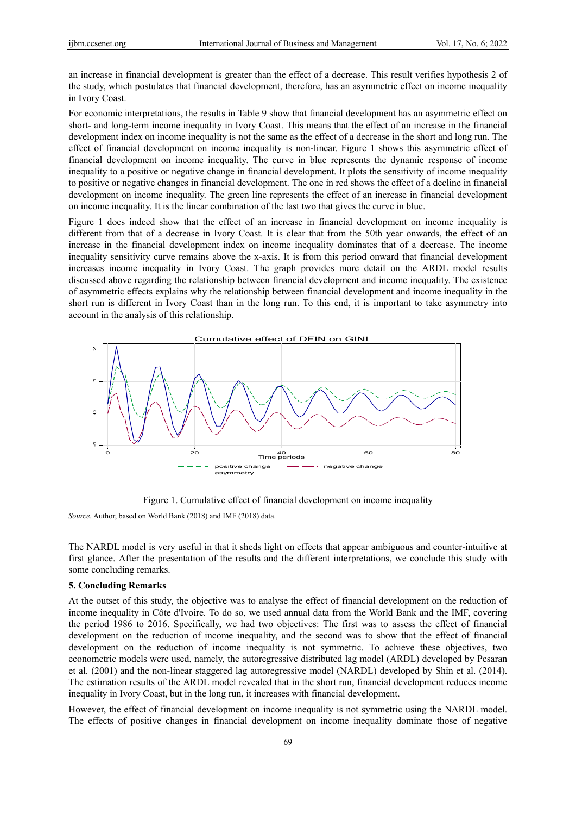an increase in financial development is greater than the effect of a decrease. This result verifies hypothesis 2 of the study, which postulates that financial development, therefore, has an asymmetric effect on income inequality in Ivory Coast.

For economic interpretations, the results in Table 9 show that financial development has an asymmetric effect on short- and long-term income inequality in Ivory Coast. This means that the effect of an increase in the financial development index on income inequality is not the same as the effect of a decrease in the short and long run. The effect of financial development on income inequality is non-linear. Figure 1 shows this asymmetric effect of financial development on income inequality. The curve in blue represents the dynamic response of income inequality to a positive or negative change in financial development. It plots the sensitivity of income inequality to positive or negative changes in financial development. The one in red shows the effect of a decline in financial development on income inequality. The green line represents the effect of an increase in financial development on income inequality. It is the linear combination of the last two that gives the curve in blue.

Figure 1 does indeed show that the effect of an increase in financial development on income inequality is different from that of a decrease in Ivory Coast. It is clear that from the 50th year onwards, the effect of an increase in the financial development index on income inequality dominates that of a decrease. The income inequality sensitivity curve remains above the x-axis. It is from this period onward that financial development increases income inequality in Ivory Coast. The graph provides more detail on the ARDL model results discussed above regarding the relationship between financial development and income inequality. The existence of asymmetric effects explains why the relationship between financial development and income inequality in the short run is different in Ivory Coast than in the long run. To this end, it is important to take asymmetry into account in the analysis of this relationship.



Figure 1. Cumulative effect of financial development on income inequality

*Source*. Author, based on World Bank (2018) and IMF (2018) data.

The NARDL model is very useful in that it sheds light on effects that appear ambiguous and counter-intuitive at first glance. After the presentation of the results and the different interpretations, we conclude this study with some concluding remarks.

#### **5. Concluding Remarks**

At the outset of this study, the objective was to analyse the effect of financial development on the reduction of income inequality in Côte d'Ivoire. To do so, we used annual data from the World Bank and the IMF, covering the period 1986 to 2016. Specifically, we had two objectives: The first was to assess the effect of financial development on the reduction of income inequality, and the second was to show that the effect of financial development on the reduction of income inequality is not symmetric. To achieve these objectives, two econometric models were used, namely, the autoregressive distributed lag model (ARDL) developed by Pesaran et al. (2001) and the non-linear staggered lag autoregressive model (NARDL) developed by Shin et al. (2014). The estimation results of the ARDL model revealed that in the short run, financial development reduces income inequality in Ivory Coast, but in the long run, it increases with financial development.

However, the effect of financial development on income inequality is not symmetric using the NARDL model.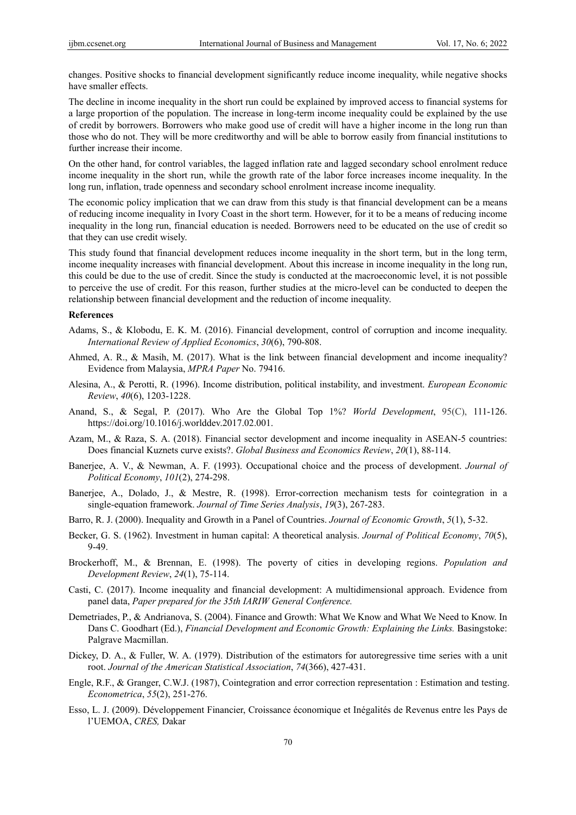changes. Positive shocks to financial development significantly reduce income inequality, while negative shocks have smaller effects.

The decline in income inequality in the short run could be explained by improved access to financial systems for a large proportion of the population. The increase in long-term income inequality could be explained by the use of credit by borrowers. Borrowers who make good use of credit will have a higher income in the long run than those who do not. They will be more creditworthy and will be able to borrow easily from financial institutions to further increase their income.

On the other hand, for control variables, the lagged inflation rate and lagged secondary school enrolment reduce income inequality in the short run, while the growth rate of the labor force increases income inequality. In the long run, inflation, trade openness and secondary school enrolment increase income inequality.

The economic policy implication that we can draw from this study is that financial development can be a means of reducing income inequality in Ivory Coast in the short term. However, for it to be a means of reducing income inequality in the long run, financial education is needed. Borrowers need to be educated on the use of credit so that they can use credit wisely.

This study found that financial development reduces income inequality in the short term, but in the long term, income inequality increases with financial development. About this increase in income inequality in the long run, this could be due to the use of credit. Since the study is conducted at the macroeconomic level, it is not possible to perceive the use of credit. For this reason, further studies at the micro-level can be conducted to deepen the relationship between financial development and the reduction of income inequality.

# **References**

- Adams, S., & Klobodu, E. K. M. (2016). Financial development, control of corruption and income inequality. *International Review of Applied Economics*, *30*(6), 790-808.
- Ahmed, A. R., & Masih, M. (2017). What is the link between financial development and income inequality? Evidence from Malaysia, *MPRA Paper* No. 79416.
- Alesina, A., & Perotti, R. (1996). Income distribution, political instability, and investment. *European Economic Review*, *40*(6), 1203-1228.
- Anand, S., & Segal, P. (2017). Who Are the Global Top 1%? *World Development*, 95(C), 111-126. https://doi.org/10.1016/j.worlddev.2017.02.001.
- Azam, M., & Raza, S. A. (2018). Financial sector development and income inequality in ASEAN-5 countries: Does financial Kuznets curve exists?. *Global Business and Economics Review*, *20*(1), 88-114.
- Banerjee, A. V., & Newman, A. F. (1993). Occupational choice and the process of development. *Journal of Political Economy*, *101*(2), 274-298.
- Banerjee, A., Dolado, J., & Mestre, R. (1998). Error-correction mechanism tests for cointegration in a single-equation framework. *Journal of Time Series Analysis*, *19*(3), 267-283.
- Barro, R. J. (2000). Inequality and Growth in a Panel of Countries. *Journal of Economic Growth*, *5*(1), 5-32.
- Becker, G. S. (1962). Investment in human capital: A theoretical analysis. *Journal of Political Economy*, *70*(5), 9-49.
- Brockerhoff, M., & Brennan, E. (1998). The poverty of cities in developing regions. *Population and Development Review*, *24*(1), 75-114.
- Casti, C. (2017). Income inequality and financial development: A multidimensional approach. Evidence from panel data, *Paper prepared for the 35th IARIW General Conference.*
- Demetriades, P., & Andrianova, S. (2004). Finance and Growth: What We Know and What We Need to Know. In Dans C. Goodhart (Ed.), *Financial Development and Economic Growth: Explaining the Links.* Basingstoke: Palgrave Macmillan.
- Dickey, D. A., & Fuller, W. A. (1979). Distribution of the estimators for autoregressive time series with a unit root. *Journal of the American Statistical Association*, *74*(366), 427-431.
- Engle, R.F., & Granger, C.W.J. (1987), Cointegration and error correction representation : Estimation and testing. *Econometrica*, *55*(2), 251-276.
- Esso, L. J. (2009). Développement Financier, Croissance économique et Inégalités de Revenus entre les Pays de l'UEMOA, *CRES,* Dakar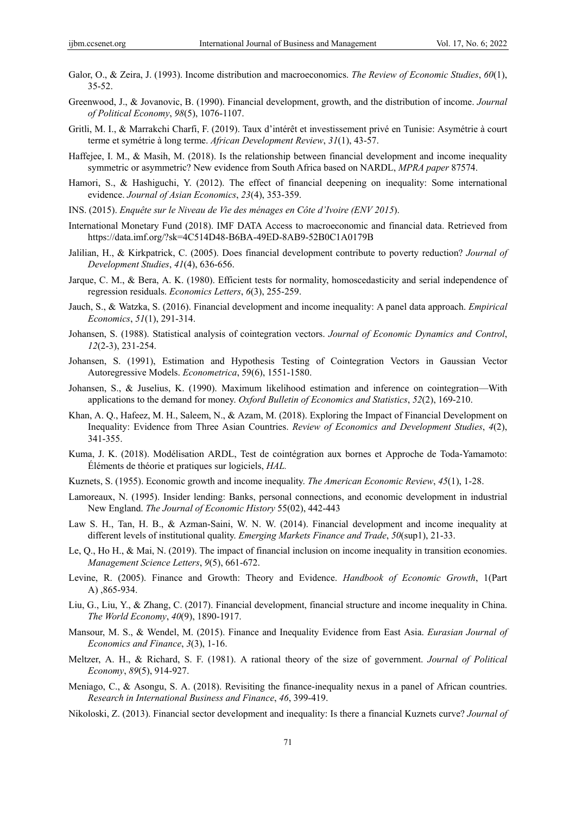- Galor, O., & Zeira, J. (1993). Income distribution and macroeconomics. *The Review of Economic Studies*, *60*(1), 35-52.
- Greenwood, J., & Jovanovic, B. (1990). Financial development, growth, and the distribution of income. *Journal of Political Economy*, *98*(5), 1076-1107.
- Gritli, M. I., & Marrakchi Charfi, F. (2019). Taux d'intérêt et investissement privé en Tunisie: Asymétrie à court terme et symétrie à long terme. *African Development Review*, *31*(1), 43-57.
- Haffejee, I. M., & Masih, M. (2018). Is the relationship between financial development and income inequality symmetric or asymmetric? New evidence from South Africa based on NARDL, *MPRA paper* 87574.
- Hamori, S., & Hashiguchi, Y. (2012). The effect of financial deepening on inequality: Some international evidence. *Journal of Asian Economics*, *23*(4), 353-359.
- INS. (2015). *Enquête sur le Niveau de Vie des ménages en Côte d'Ivoire (ENV 2015*).
- International Monetary Fund (2018). IMF DATA Access to macroeconomic and financial data. Retrieved from https://data.imf.org/?sk=4C514D48-B6BA-49ED-8AB9-52B0C1A0179B
- Jalilian, H., & Kirkpatrick, C. (2005). Does financial development contribute to poverty reduction? *Journal of Development Studies*, *41*(4), 636-656.
- Jarque, C. M., & Bera, A. K. (1980). Efficient tests for normality, homoscedasticity and serial independence of regression residuals. *Economics Letters*, *6*(3), 255-259.
- Jauch, S., & Watzka, S. (2016). Financial development and income inequality: A panel data approach. *Empirical Economics*, *51*(1), 291-314.
- Johansen, S. (1988). Statistical analysis of cointegration vectors. *Journal of Economic Dynamics and Control*, *12*(2-3), 231-254.
- Johansen, S. (1991), Estimation and Hypothesis Testing of Cointegration Vectors in Gaussian Vector Autoregressive Models. *Econometrica*, 59(6), 1551-1580.
- Johansen, S., & Juselius, K. (1990). Maximum likelihood estimation and inference on cointegration—With applications to the demand for money. *Oxford Bulletin of Economics and Statistics*, *52*(2), 169-210.
- Khan, A. Q., Hafeez, M. H., Saleem, N., & Azam, M. (2018). Exploring the Impact of Financial Development on Inequality: Evidence from Three Asian Countries. *Review of Economics and Development Studies*, *4*(2), 341-355.
- Kuma, J. K. (2018). Modélisation ARDL, Test de cointégration aux bornes et Approche de Toda-Yamamoto: Éléments de théorie et pratiques sur logiciels, *HAL.*
- Kuznets, S. (1955). Economic growth and income inequality. *The American Economic Review*, *45*(1), 1-28.
- Lamoreaux, N. (1995). Insider lending: Banks, personal connections, and economic development in industrial New England. *The Journal of Economic History* 55(02), 442-443
- Law S. H., Tan, H. B., & Azman-Saini, W. N. W. (2014). Financial development and income inequality at different levels of institutional quality. *Emerging Markets Finance and Trade*, *50*(sup1), 21-33.
- Le, Q., Ho H., & Mai, N. (2019). The impact of financial inclusion on income inequality in transition economies. *Management Science Letters*, *9*(5), 661-672.
- Levine, R. (2005). Finance and Growth: Theory and Evidence. *Handbook of Economic Growth*, 1(Part A) ,865-934.
- Liu, G., Liu, Y., & Zhang, C. (2017). Financial development, financial structure and income inequality in China. *The World Economy*, *40*(9), 1890-1917.
- Mansour, M. S., & Wendel, M. (2015). Finance and Inequality Evidence from East Asia. *Eurasian Journal of Economics and Finance*, *3*(3), 1-16.
- Meltzer, A. H., & Richard, S. F. (1981). A rational theory of the size of government. *Journal of Political Economy*, *89*(5), 914-927.
- Meniago, C., & Asongu, S. A. (2018). Revisiting the finance-inequality nexus in a panel of African countries. *Research in International Business and Finance*, *46*, 399-419.
- Nikoloski, Z. (2013). Financial sector development and inequality: Is there a financial Kuznets curve? *Journal of*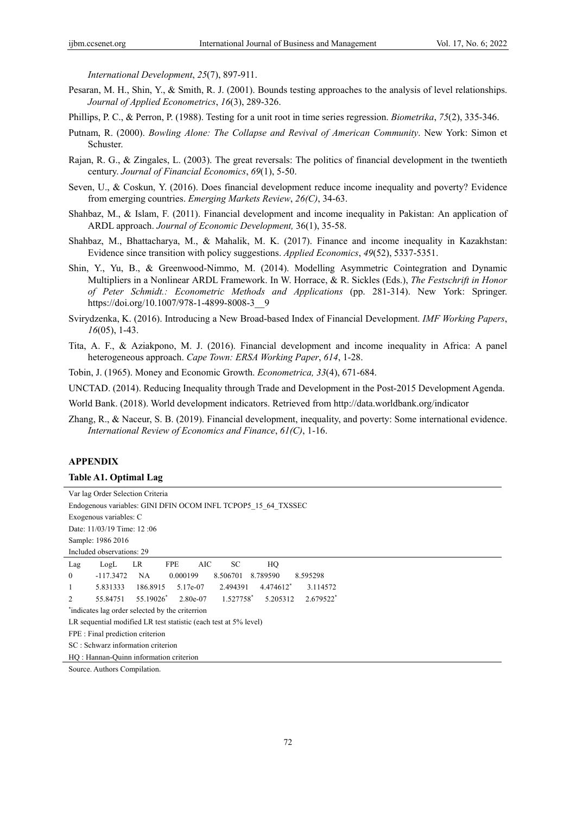*International Development*, *25*(7), 897-911.

- Pesaran, M. H., Shin, Y., & Smith, R. J. (2001). Bounds testing approaches to the analysis of level relationships. *Journal of Applied Econometrics*, *16*(3), 289-326.
- Phillips, P. C., & Perron, P. (1988). Testing for a unit root in time series regression. *Biometrika*, *75*(2), 335-346.
- Putnam, R. (2000). *Bowling Alone: The Collapse and Revival of American Community*. New York: Simon et Schuster.
- Rajan, R. G., & Zingales, L. (2003). The great reversals: The politics of financial development in the twentieth century. *Journal of Financial Economics*, *69*(1), 5-50.
- Seven, U., & Coskun, Y. (2016). Does financial development reduce income inequality and poverty? Evidence from emerging countries. *Emerging Markets Review*, *26(C)*, 34-63.
- Shahbaz, M., & Islam, F. (2011). Financial development and income inequality in Pakistan: An application of ARDL approach. *Journal of Economic Development,* 36(1), 35-58.
- Shahbaz, M., Bhattacharya, M., & Mahalik, M. K. (2017). Finance and income inequality in Kazakhstan: Evidence since transition with policy suggestions. *Applied Economics*, *49*(52), 5337-5351.
- Shin, Y., Yu, B., & Greenwood-Nimmo, M. (2014). Modelling Asymmetric Cointegration and Dynamic Multipliers in a Nonlinear ARDL Framework. In W. Horrace, & R. Sickles (Eds.), *The Festschrift in Honor of Peter Schmidt.: Econometric Methods and Applications* (pp. 281-314). New York: Springer. https://doi.org/10.1007/978-1-4899-8008-3\_\_9
- Svirydzenka, K. (2016). Introducing a New Broad-based Index of Financial Development. *IMF Working Papers*, *16*(05), 1-43.
- Tita, A. F., & Aziakpono, M. J. (2016). Financial development and income inequality in Africa: A panel heterogeneous approach. *Cape Town: ERSA Working Paper*, *614*, 1-28.

Tobin, J. (1965). Money and Economic Growth. *Econometrica, 33*(4), 671-684.

UNCTAD. (2014). Reducing Inequality through Trade and Development in the Post-2015 Development Agenda.

World Bank. (2018). World development indicators. Retrieved from http://data.worldbank.org/indicator

Zhang, R., & Naceur, S. B. (2019). Financial development, inequality, and poverty: Some international evidence. *International Review of Economics and Finance*, *61(C)*, 1-16.

# **APPENDIX**

## **Table A1. Optimal Lag**

| Var lag Order Selection Criteria                                                           |
|--------------------------------------------------------------------------------------------|
| Endogenous variables: GINI DFIN OCOM INFL TCPOP5 15 64 TXSSEC                              |
| Exogenous variables: C                                                                     |
| Date: 11/03/19 Time: 12:06                                                                 |
| Sample: 1986 2016                                                                          |
| Included observations: 29                                                                  |
| <b>FPE</b><br>AIC<br>SC<br>LR<br>HQ<br>Lag<br>LogL                                         |
| $\overline{0}$<br>$-117.3472$<br>0.000199<br>8.506701<br>8.789590<br>8.595298<br>NA.       |
| 4.474612*<br>186.8915<br>2.494391<br>3.114572<br>1<br>5.831333<br>5.17e-07                 |
| 1.527758*<br>55.19026*<br>5.205312<br>2.679522 <sup>*</sup><br>2<br>55.84751<br>$2.80e-07$ |
| indicates lag order selected by the criterrion                                             |
| LR sequential modified LR test statistic (each test at 5% level)                           |
| FPE : Final prediction criterion                                                           |
| SC: Schwarz information criterion                                                          |
| HO: Hannan-Quinn information criterion                                                     |
| $\alpha$ and $\alpha$ in the set of $\alpha$                                               |

Source. Authors Compilation.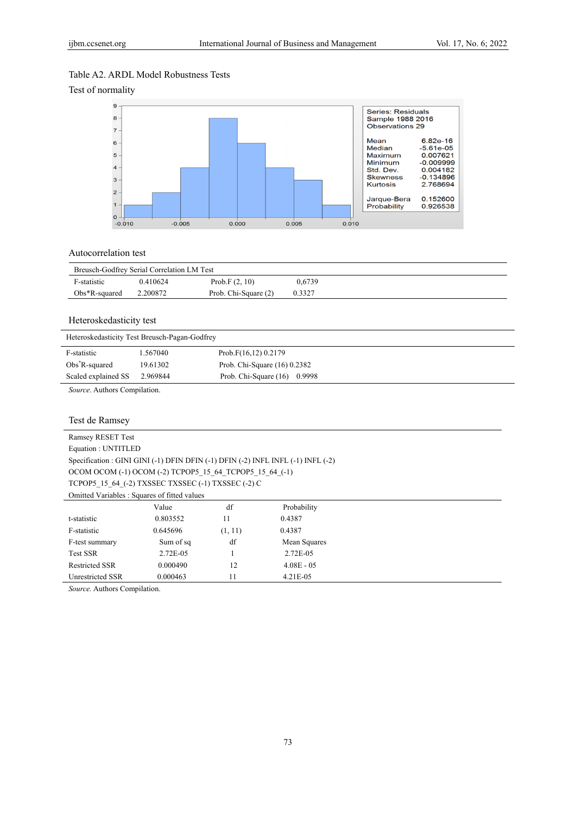# Table A2. ARDL Model Robustness Tests

Test of normality



# Autocorrelation test

| Breusch-Godfrey Serial Correlation LM Test |          |                      |        |  |
|--------------------------------------------|----------|----------------------|--------|--|
| F-statistic                                | 0.410624 | Prob.F $(2, 10)$     | 0.6739 |  |
| $Obs*R$ -squared                           | 2.200872 | Prob. Chi-Square (2) | 0.3327 |  |

# Heteroskedasticity test

| Heteroskedasticity Test Breusch-Pagan-Godfrey |                                 |  |  |  |  |  |  |
|-----------------------------------------------|---------------------------------|--|--|--|--|--|--|
| 1.567040                                      | Prob.F(16,12) 0.2179            |  |  |  |  |  |  |
| 19.61302                                      | Prob. Chi-Square $(16)$ 0.2382  |  |  |  |  |  |  |
| 2.969844                                      | Prob. Chi-Square (16)<br>0.9998 |  |  |  |  |  |  |
|                                               |                                 |  |  |  |  |  |  |

*Source*. Authors Compilation.

# Test de Ramsey

| <b>Ramsey RESET Test</b>                                                         |                                 |    |             |  |  |  |  |  |
|----------------------------------------------------------------------------------|---------------------------------|----|-------------|--|--|--|--|--|
| Equation: UNTITLED                                                               |                                 |    |             |  |  |  |  |  |
| Specification : GINI GINI (-1) DFIN DFIN (-1) DFIN (-2) INFL INFL (-1) INFL (-2) |                                 |    |             |  |  |  |  |  |
| OCOM OCOM (-1) OCOM (-2) TCPOP5 15 64 TCPOP5 15 64 (-1)                          |                                 |    |             |  |  |  |  |  |
| TCPOP5 15 64 (-2) TXSSEC TXSSEC (-1) TXSSEC (-2) C                               |                                 |    |             |  |  |  |  |  |
| Omitted Variables: Squares of fitted values                                      |                                 |    |             |  |  |  |  |  |
|                                                                                  | Value                           | df | Probability |  |  |  |  |  |
| t-statistic                                                                      | 0.803552                        | 11 | 0.4387      |  |  |  |  |  |
| F-statistic                                                                      | 0.645696                        |    |             |  |  |  |  |  |
| F-test summary                                                                   | df<br>Sum of sq<br>Mean Squares |    |             |  |  |  |  |  |
| <b>Test SSR</b>                                                                  | 2.72E-05                        |    | 2.72E-05    |  |  |  |  |  |
| <b>Restricted SSR</b>                                                            |                                 |    |             |  |  |  |  |  |
| 11<br>$4.21E - 0.5$<br>Unrestricted SSR<br>0.000463                              |                                 |    |             |  |  |  |  |  |

*Source.* Authors Compilation.